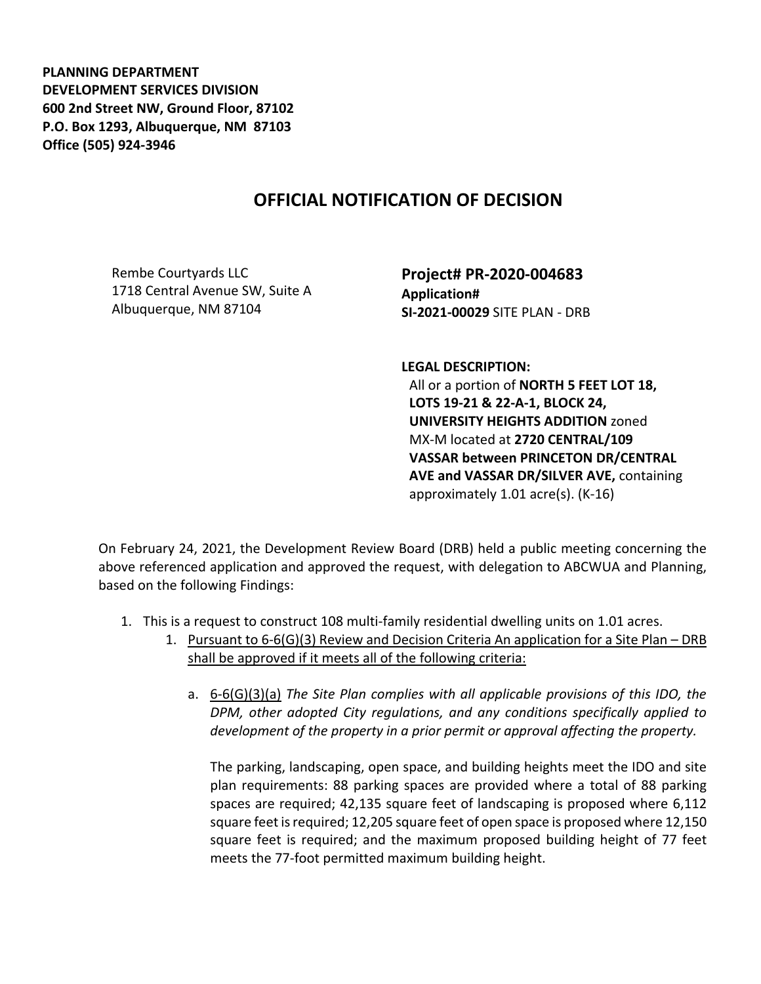**PLANNING DEPARTMENT DEVELOPMENT SERVICES DIVISION 600 2nd Street NW, Ground Floor, 87102 P.O. Box 1293, Albuquerque, NM 87103 Office (505) 924-3946** 

## **OFFICIAL NOTIFICATION OF DECISION**

Rembe Courtyards LLC 1718 Central Avenue SW, Suite A Albuquerque, NM 87104

**Project# PR-2020-004683 Application# SI-2021-00029** SITE PLAN - DRB

**LEGAL DESCRIPTION:** All or a portion of **NORTH 5 FEET LOT 18, LOTS 19-21 & 22-A-1, BLOCK 24, UNIVERSITY HEIGHTS ADDITION** zoned MX-M located at **2720 CENTRAL/109 VASSAR between PRINCETON DR/CENTRAL AVE and VASSAR DR/SILVER AVE,** containing approximately 1.01 acre(s). (K-16)

On February 24, 2021, the Development Review Board (DRB) held a public meeting concerning the above referenced application and approved the request, with delegation to ABCWUA and Planning, based on the following Findings:

- 1. This is a request to construct 108 multi-family residential dwelling units on 1.01 acres.
	- 1. Pursuant to 6-6(G)(3) Review and Decision Criteria An application for a Site Plan DRB shall be approved if it meets all of the following criteria:
		- a. 6-6(G)(3)(a) *The Site Plan complies with all applicable provisions of this IDO, the DPM, other adopted City regulations, and any conditions specifically applied to development of the property in a prior permit or approval affecting the property.*

The parking, landscaping, open space, and building heights meet the IDO and site plan requirements: 88 parking spaces are provided where a total of 88 parking spaces are required; 42,135 square feet of landscaping is proposed where 6,112 square feet is required; 12,205 square feet of open space is proposed where 12,150 square feet is required; and the maximum proposed building height of 77 feet meets the 77-foot permitted maximum building height.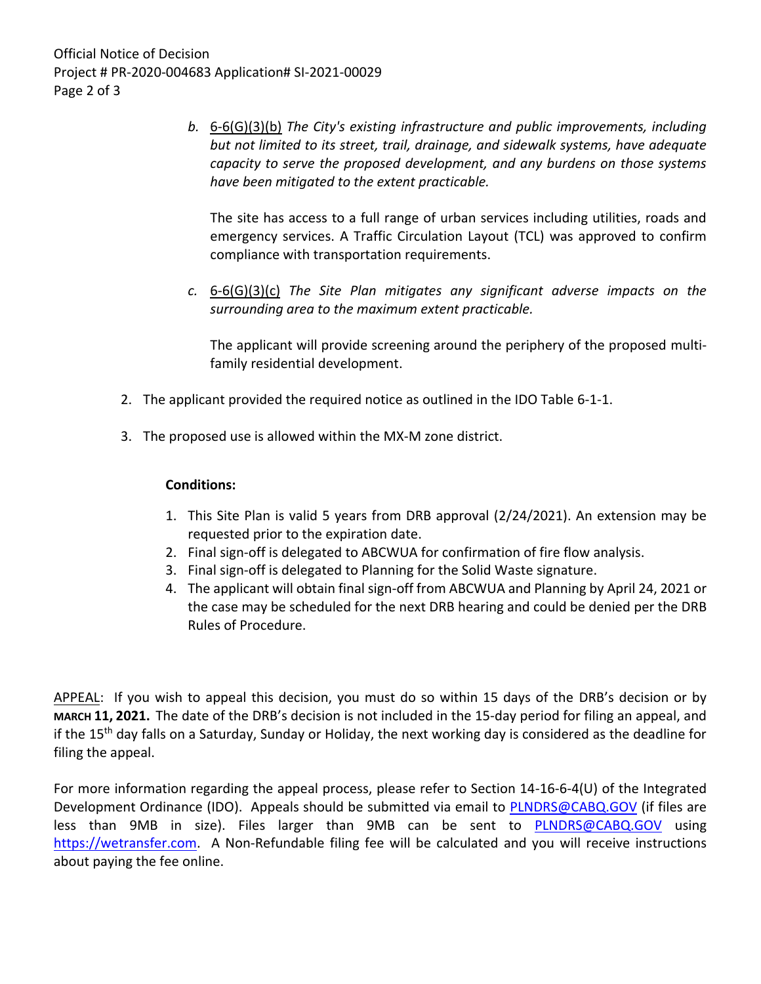Official Notice of Decision Project # PR-2020-004683 Application# SI-2021-00029 Page 2 of 3

> *b.* 6-6(G)(3)(b) *The City's existing infrastructure and public improvements, including but not limited to its street, trail, drainage, and sidewalk systems, have adequate capacity to serve the proposed development, and any burdens on those systems have been mitigated to the extent practicable.*

The site has access to a full range of urban services including utilities, roads and emergency services. A Traffic Circulation Layout (TCL) was approved to confirm compliance with transportation requirements.

*c.* 6-6(G)(3)(c) *The Site Plan mitigates any significant adverse impacts on the surrounding area to the maximum extent practicable.* 

The applicant will provide screening around the periphery of the proposed multifamily residential development.

- 2. The applicant provided the required notice as outlined in the IDO Table 6-1-1.
- 3. The proposed use is allowed within the MX-M zone district.

## **Conditions:**

- 1. This Site Plan is valid 5 years from DRB approval (2/24/2021). An extension may be requested prior to the expiration date.
- 2. Final sign-off is delegated to ABCWUA for confirmation of fire flow analysis.
- 3. Final sign-off is delegated to Planning for the Solid Waste signature.
- 4. The applicant will obtain final sign-off from ABCWUA and Planning by April 24, 2021 or the case may be scheduled for the next DRB hearing and could be denied per the DRB Rules of Procedure.

APPEAL: If you wish to appeal this decision, you must do so within 15 days of the DRB's decision or by **MARCH 11, 2021.** The date of the DRB's decision is not included in the 15-day period for filing an appeal, and if the 15th day falls on a Saturday, Sunday or Holiday, the next working day is considered as the deadline for filing the appeal.

For more information regarding the appeal process, please refer to Section 14-16-6-4(U) of the Integrated Development Ordinance (IDO). Appeals should be submitted via email to [PLNDRS@CABQ.GOV](mailto:PLNDRS@CABQ.GOV) (if files are less than 9MB in size). Files larger than 9MB can be sent to [PLNDRS@CABQ.GOV](mailto:PLNDRS@CABQ.GOV) using [https://wetransfer.com.](https://wetransfer.com/) A Non-Refundable filing fee will be calculated and you will receive instructions about paying the fee online.